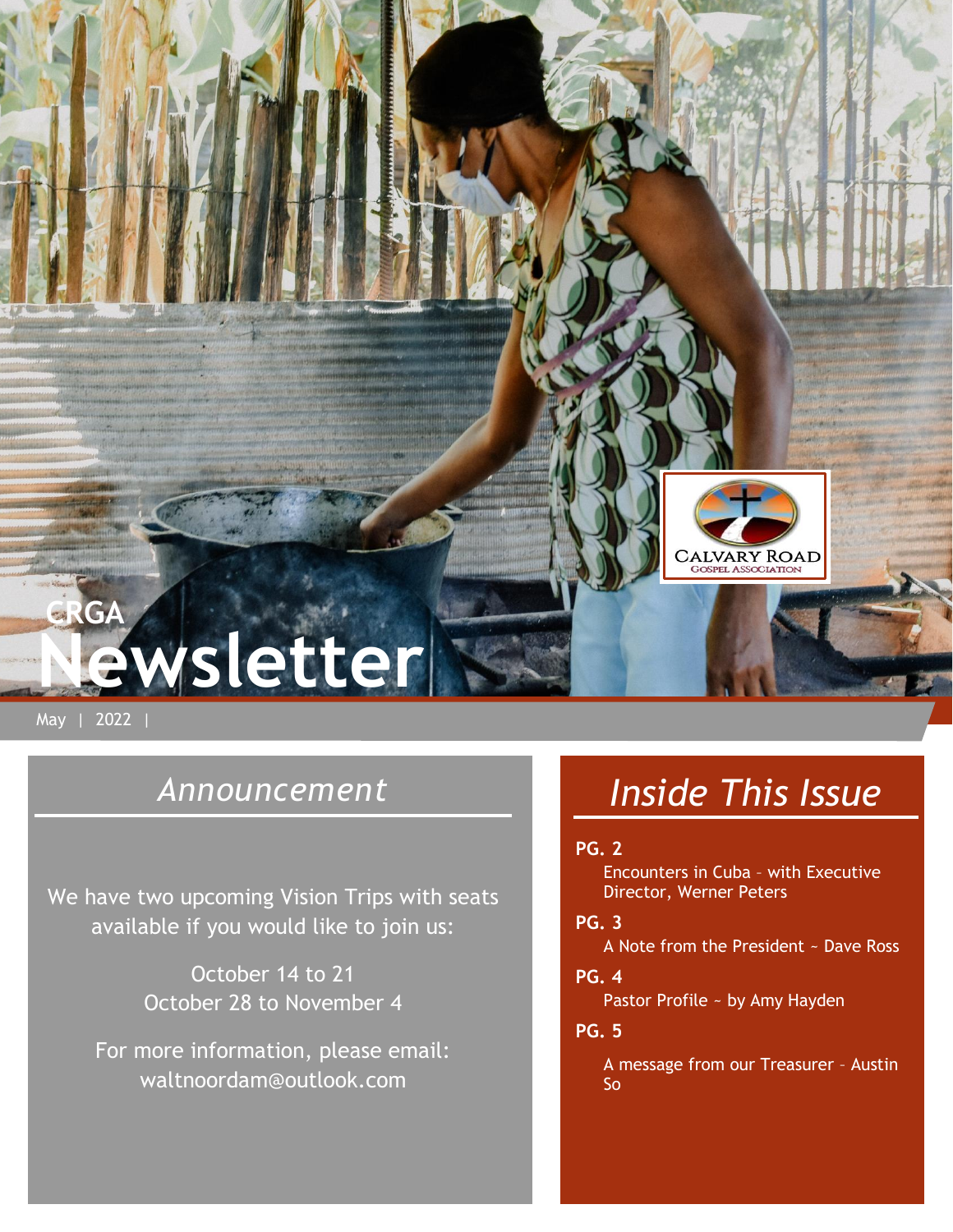

May | 2022 |

## *Announcement*

We have two upcoming Vision Trips with seats available if you would like to join us:

> October 14 to 21 October 28 to November 4

For more information, please email: waltnoordam@outlook.com

# *Inside This Issue*

#### **PG. 2**

Encounters in Cuba – with Executive Director, Werner Peters

#### **PG. 3**

A Note from the President ~ Dave Ross

#### **PG. 4**

Pastor Profile ~ by Amy Hayden

#### **PG. 5**

A message from our Treasurer – Austin So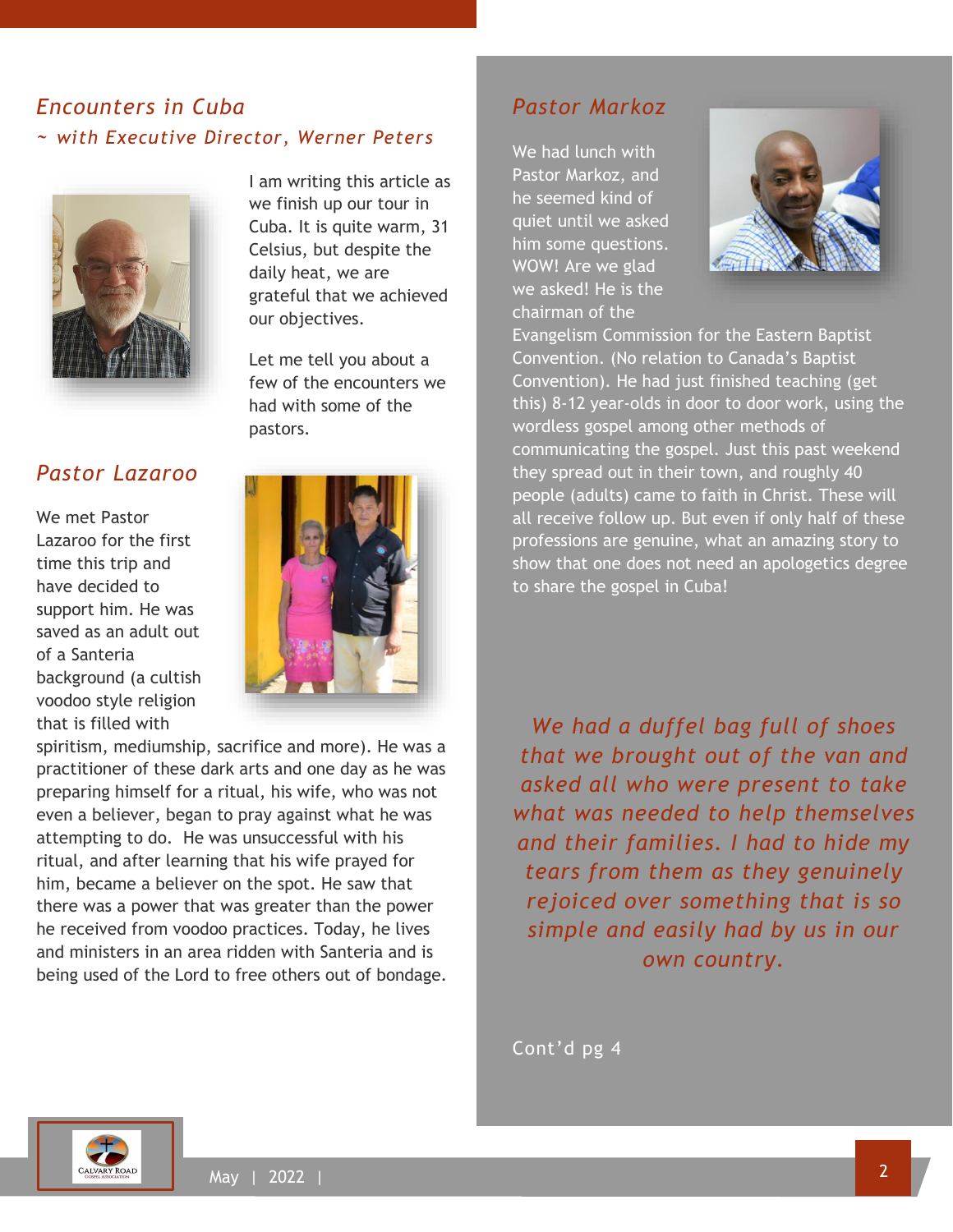## *Encounters in Cuba ~ with Executive Director, Werner Peters*



## *Pastor Lazaroo*

We met Pastor Lazaroo for the first time this trip and have decided to support him. He was saved as an adult out of a Santeria background (a cultish voodoo style religion that is filled with

I am writing this article as we finish up our tour in Cuba. It is quite warm, 31 Celsius, but despite the daily heat, we are grateful that we achieved our objectives.

Let me tell you about a few of the encounters we had with some of the pastors.



spiritism, mediumship, sacrifice and more). He was a practitioner of these dark arts and one day as he was preparing himself for a ritual, his wife, who was not even a believer, began to pray against what he was attempting to do. He was unsuccessful with his ritual, and after learning that his wife prayed for him, became a believer on the spot. He saw that there was a power that was greater than the power he received from voodoo practices. Today, he lives and ministers in an area ridden with Santeria and is being used of the Lord to free others out of bondage.

## *Pastor Markoz*

We had lunch with Pastor Markoz, and he seemed kind of quiet until we asked him some questions. WOW! Are we glad we asked! He is the chairman of the



Evangelism Commission for the Eastern Baptist Convention. (No relation to Canada's Baptist Convention). He had just finished teaching (get this) 8-12 year-olds in door to door work, using the wordless gospel among other methods of communicating the gospel. Just this past weekend they spread out in their town, and roughly 40 people (adults) came to faith in Christ. These will all receive follow up. But even if only half of these professions are genuine, what an amazing story to show that one does not need an apologetics degree to share the gospel in Cuba!

*We had a duffel bag full of shoes that we brought out of the van and asked all who were present to take what was needed to help themselves and their families. I had to hide my tears from them as they genuinely rejoiced over something that is so simple and easily had by us in our own country.*

Cont'd pg 4

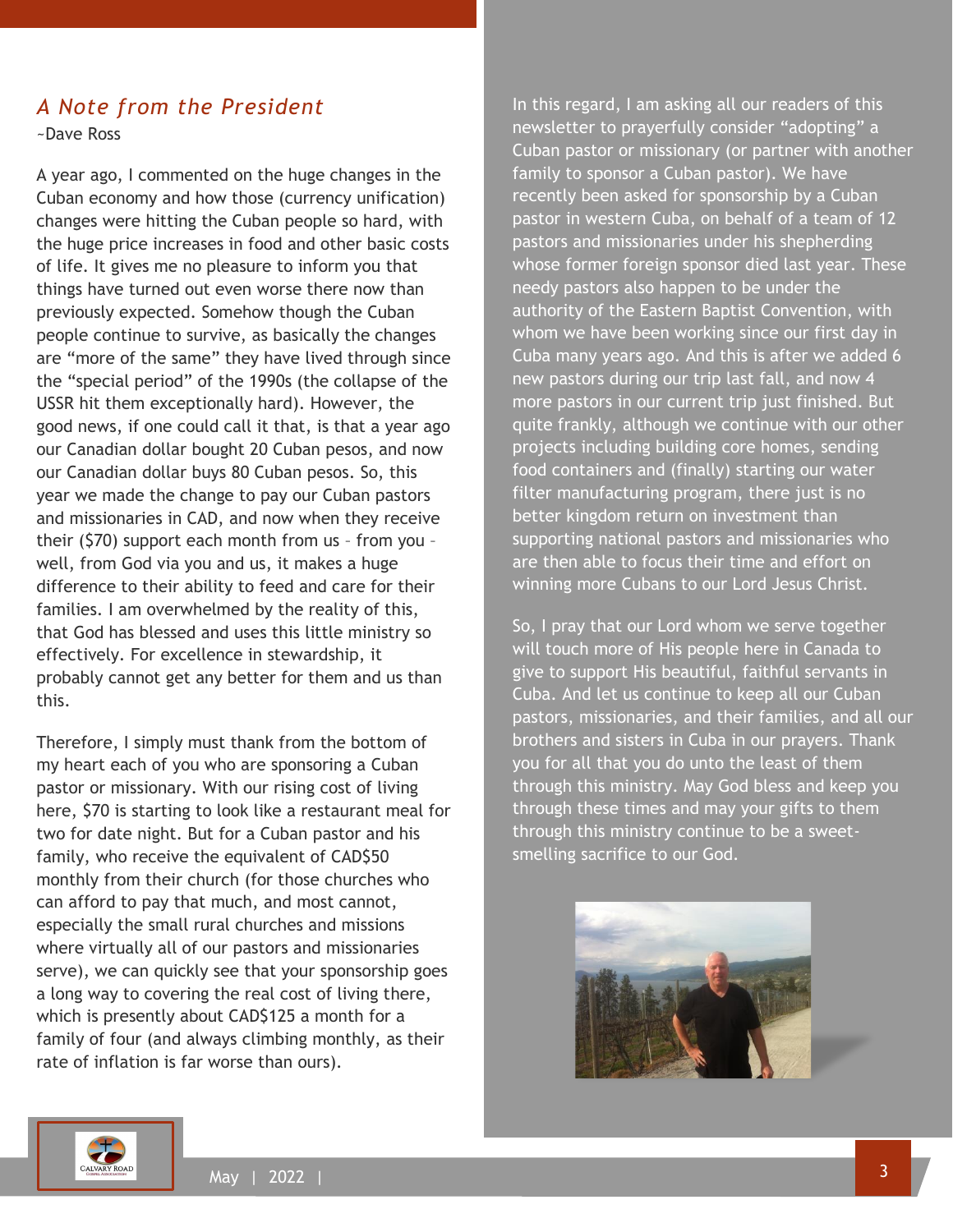## *A Note from the President*

~Dave Ross

A year ago, I commented on the huge changes in the Cuban economy and how those (currency unification) changes were hitting the Cuban people so hard, with the huge price increases in food and other basic costs of life. It gives me no pleasure to inform you that things have turned out even worse there now than previously expected. Somehow though the Cuban people continue to survive, as basically the changes are "more of the same" they have lived through since the "special period" of the 1990s (the collapse of the USSR hit them exceptionally hard). However, the good news, if one could call it that, is that a year ago our Canadian dollar bought 20 Cuban pesos, and now our Canadian dollar buys 80 Cuban pesos. So, this year we made the change to pay our Cuban pastors and missionaries in CAD, and now when they receive their (\$70) support each month from us – from you – well, from God via you and us, it makes a huge difference to their ability to feed and care for their families. I am overwhelmed by the reality of this, that God has blessed and uses this little ministry so effectively. For excellence in stewardship, it probably cannot get any better for them and us than this.

Therefore, I simply must thank from the bottom of my heart each of you who are sponsoring a Cuban pastor or missionary. With our rising cost of living here, \$70 is starting to look like a restaurant meal for two for date night. But for a Cuban pastor and his family, who receive the equivalent of CAD\$50 monthly from their church (for those churches who can afford to pay that much, and most cannot, especially the small rural churches and missions where virtually all of our pastors and missionaries serve), we can quickly see that your sponsorship goes a long way to covering the real cost of living there, which is presently about CAD\$125 a month for a family of four (and always climbing monthly, as their rate of inflation is far worse than ours).

In this regard, I am asking all our readers of this newsletter to prayerfully consider "adopting" a Cuban pastor or missionary (or partner with another family to sponsor a Cuban pastor). We have recently been asked for sponsorship by a Cuban pastor in western Cuba, on behalf of a team of 12 pastors and missionaries under his shepherding whose former foreign sponsor died last year. These needy pastors also happen to be under the authority of the Eastern Baptist Convention, with whom we have been working since our first day in Cuba many years ago. And this is after we added 6 new pastors during our trip last fall, and now 4 more pastors in our current trip just finished. But quite frankly, although we continue with our other projects including building core homes, sending food containers and (finally) starting our water filter manufacturing program, there just is no better kingdom return on investment than supporting national pastors and missionaries who are then able to focus their time and effort on winning more Cubans to our Lord Jesus Christ.

So, I pray that our Lord whom we serve together will touch more of His people here in Canada to give to support His beautiful, faithful servants in Cuba. And let us continue to keep all our Cuban pastors, missionaries, and their families, and all our brothers and sisters in Cuba in our prayers. Thank you for all that you do unto the least of them through this ministry. May God bless and keep you through these times and may your gifts to them through this ministry continue to be a sweetsmelling sacrifice to our God.



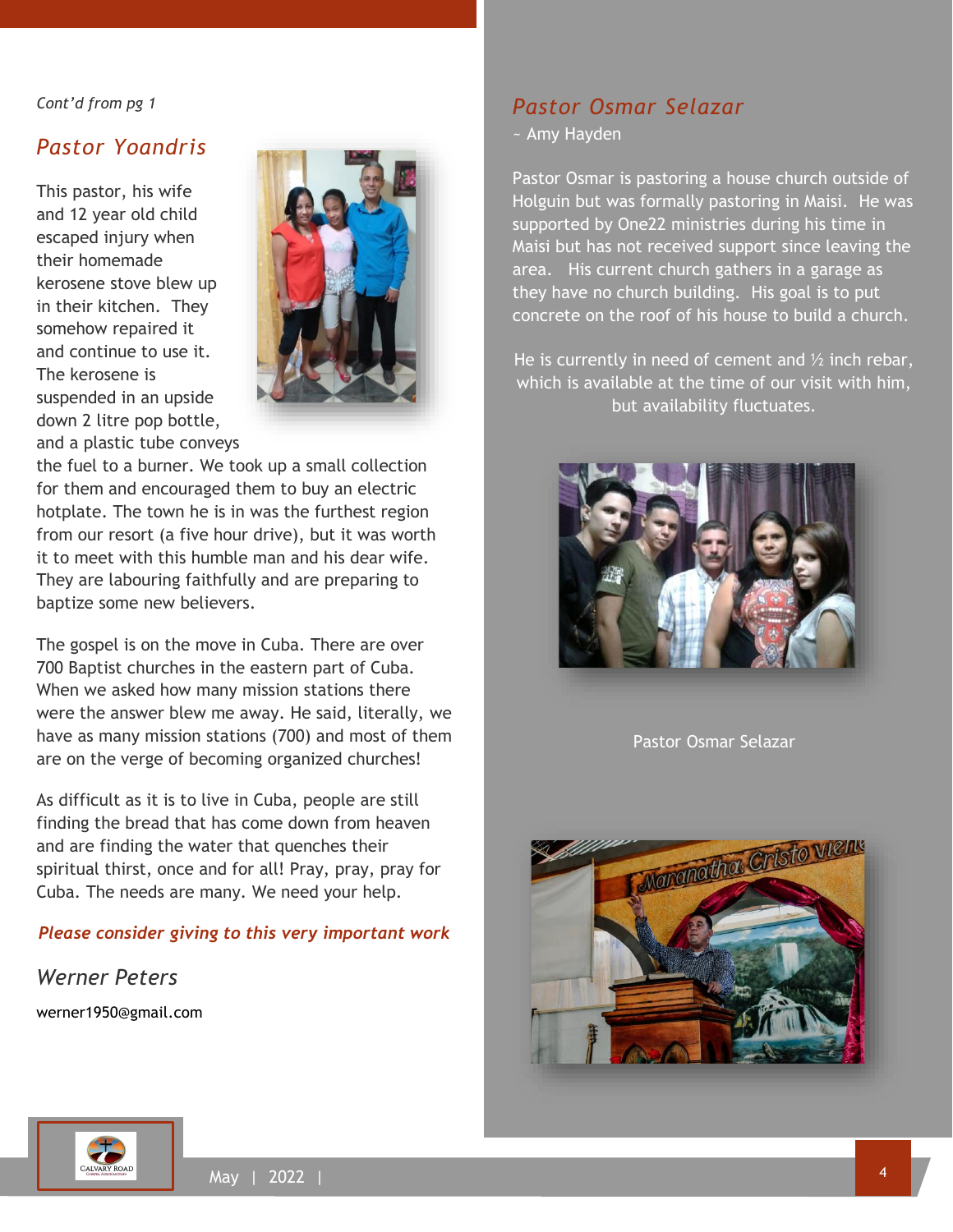#### *Cont'd from pg 1*

#### *Pastor Yoandris*

This pastor, his wife and 12 year old child escaped injury when their homemade kerosene stove blew up in their kitchen. They somehow repaired it and continue to use it. The kerosene is suspended in an upside down 2 litre pop bottle, and a plastic tube conveys



the fuel to a burner. We took up a small collection for them and encouraged them to buy an electric hotplate. The town he is in was the furthest region from our resort (a five hour drive), but it was worth it to meet with this humble man and his dear wife. They are labouring faithfully and are preparing to baptize some new believers.

The gospel is on the move in Cuba. There are over 700 Baptist churches in the eastern part of Cuba. When we asked how many mission stations there were the answer blew me away. He said, literally, we have as many mission stations (700) and most of them are on the verge of becoming organized churches!

As difficult as it is to live in Cuba, people are still finding the bread that has come down from heaven and are finding the water that quenches their spiritual thirst, once and for all! Pray, pray, pray for Cuba. The needs are many. We need your help.

#### *Please consider giving to this very important work*

*Werner Peters* werner1950@gmail.com

## *Pastor Osmar Selazar*

~ Amy Hayden

Pastor Osmar is pastoring a house church outside of Holguin but was formally pastoring in Maisi. He was supported by One22 ministries during his time in Maisi but has not received support since leaving the area. His current church gathers in a garage as they have no church building. His goal is to put concrete on the roof of his house to build a church.

He is currently in need of cement and  $\frac{1}{2}$  inch rebar, which is available at the time of our visit with him, but availability fluctuates.



Pastor Osmar Selazar